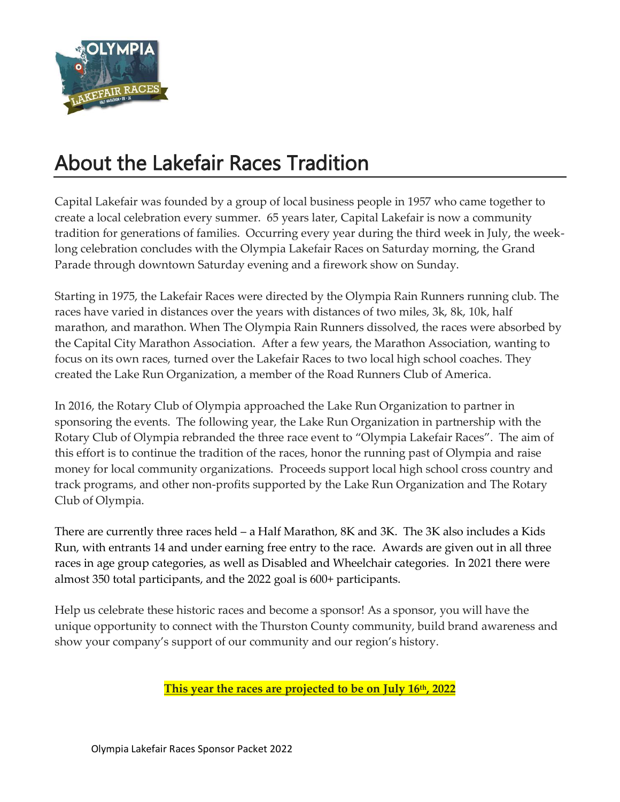

# About the Lakefair Races Tradition

Capital Lakefair was founded by a group of local business people in 1957 who came together to create a local celebration every summer. 65 years later, Capital Lakefair is now a community tradition for generations of families. Occurring every year during the third week in July, the weeklong celebration concludes with the Olympia Lakefair Races on Saturday morning, the Grand Parade through downtown Saturday evening and a firework show on Sunday.

Starting in 1975, the Lakefair Races were directed by the Olympia Rain Runners running club. The races have varied in distances over the years with distances of two miles, 3k, 8k, 10k, half marathon, and marathon. When The Olympia Rain Runners dissolved, the races were absorbed by the Capital City Marathon Association. After a few years, the Marathon Association, wanting to focus on its own races, turned over the Lakefair Races to two local high school coaches. They created the Lake Run Organization, a member of the Road Runners Club of America.

In 2016, the Rotary Club of Olympia approached the Lake Run Organization to partner in sponsoring the events. The following year, the Lake Run Organization in partnership with the Rotary Club of Olympia rebranded the three race event to "Olympia Lakefair Races". The aim of this effort is to continue the tradition of the races, honor the running past of Olympia and raise money for local community organizations. Proceeds support local high school cross country and track programs, and other non-profits supported by the Lake Run Organization and The Rotary Club of Olympia.

There are currently three races held – a Half Marathon, 8K and 3K. The 3K also includes a Kids Run, with entrants 14 and under earning free entry to the race. Awards are given out in all three races in age group categories, as well as Disabled and Wheelchair categories. In 2021 there were almost 350 total participants, and the 2022 goal is 600+ participants.

Help us celebrate these historic races and become a sponsor! As a sponsor, you will have the unique opportunity to connect with the Thurston County community, build brand awareness and show your company's support of our community and our region's history.

**This year the races are projected to be on July 16 th, 2022**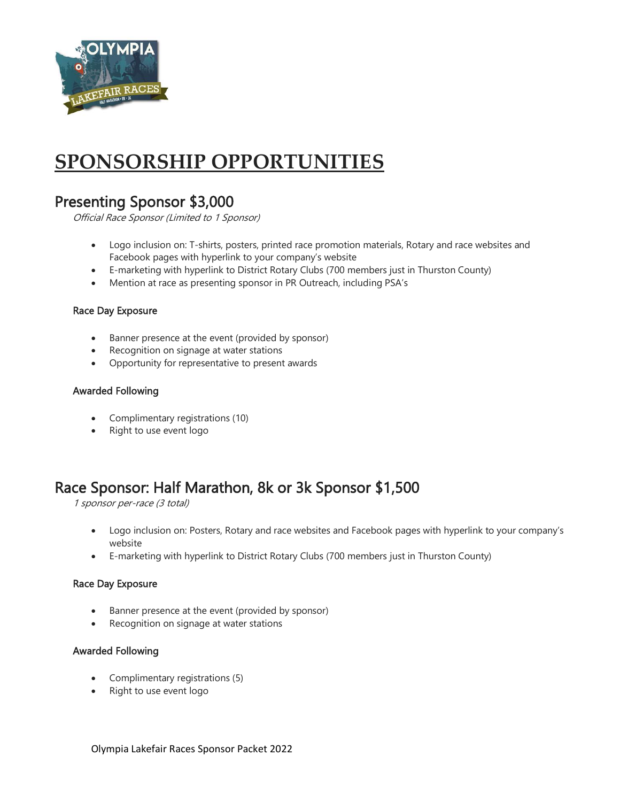

# **SPONSORSHIP OPPORTUNITIES**

## Presenting Sponsor \$3,000

Official Race Sponsor (Limited to 1 Sponsor)

- Logo inclusion on: T-shirts, posters, printed race promotion materials, Rotary and race websites and Facebook pages with hyperlink to your company's website
- E-marketing with hyperlink to District Rotary Clubs (700 members just in Thurston County)
- Mention at race as presenting sponsor in PR Outreach, including PSA's

#### Race Day Exposure

- Banner presence at the event (provided by sponsor)
- Recognition on signage at water stations
- Opportunity for representative to present awards

#### Awarded Following

- Complimentary registrations (10)
- Right to use event logo

## Race Sponsor: Half Marathon, 8k or 3k Sponsor \$1,500

1 sponsor per-race (3 total)

- Logo inclusion on: Posters, Rotary and race websites and Facebook pages with hyperlink to your company's website
- E-marketing with hyperlink to District Rotary Clubs (700 members just in Thurston County)

### Race Day Exposure

- Banner presence at the event (provided by sponsor)
- Recognition on signage at water stations

### Awarded Following

- Complimentary registrations (5)
- Right to use event logo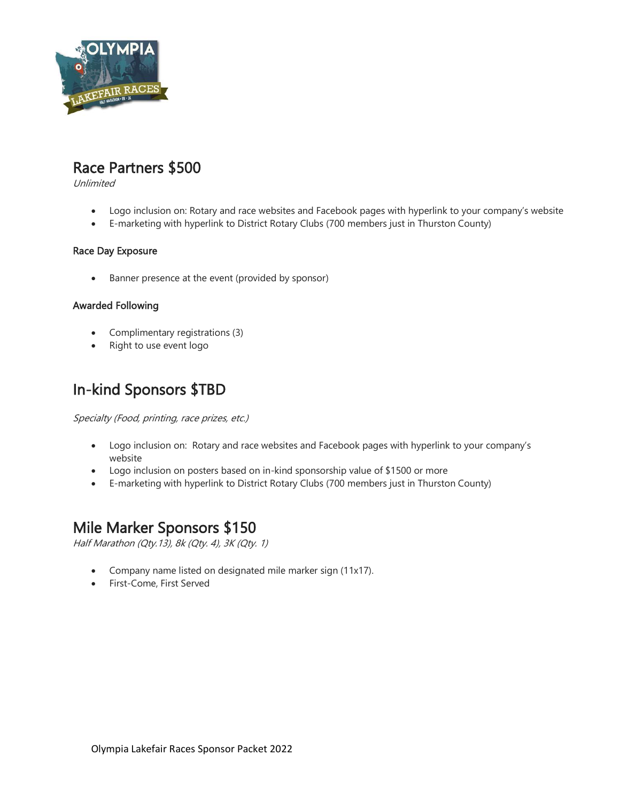

## Race Partners \$500

Unlimited

- Logo inclusion on: Rotary and race websites and Facebook pages with hyperlink to your company's website
- E-marketing with hyperlink to District Rotary Clubs (700 members just in Thurston County)

## Race Day Exposure

• Banner presence at the event (provided by sponsor)

### Awarded Following

- Complimentary registrations (3)
- Right to use event logo

# In-kind Sponsors \$TBD

Specialty (Food, printing, race prizes, etc.)

- Logo inclusion on: Rotary and race websites and Facebook pages with hyperlink to your company's website
- Logo inclusion on posters based on in-kind sponsorship value of \$1500 or more
- E-marketing with hyperlink to District Rotary Clubs (700 members just in Thurston County)

## Mile Marker Sponsors \$150

Half Marathon (Qty.13), 8k (Qty. 4), 3K (Qty. 1)

- Company name listed on designated mile marker sign (11x17).
- First-Come, First Served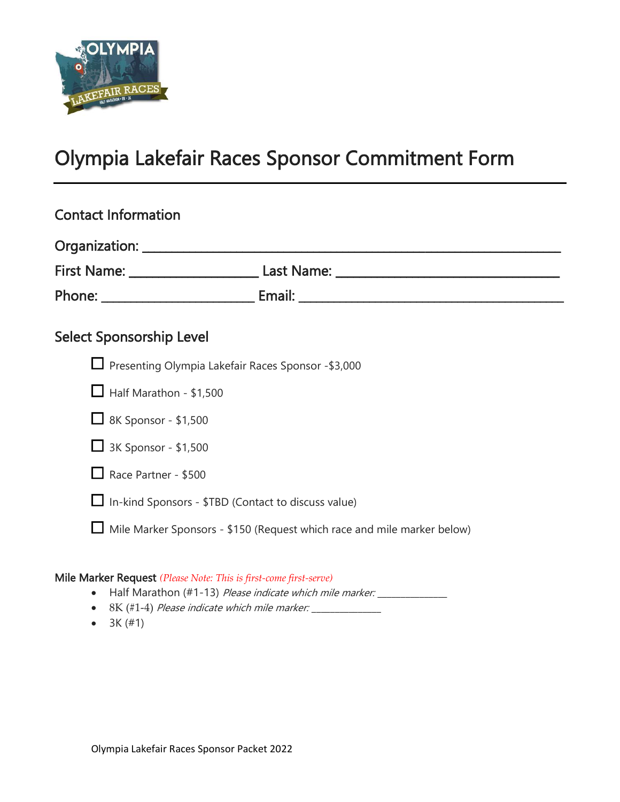

# Olympia Lakefair Races Sponsor Commitment Form

| <b>Contact Information</b>                                                     |                                                                                  |
|--------------------------------------------------------------------------------|----------------------------------------------------------------------------------|
|                                                                                |                                                                                  |
|                                                                                | First Name: _____________________________Last Name: ____________________________ |
|                                                                                |                                                                                  |
| <b>Select Sponsorship Level</b>                                                |                                                                                  |
| □ Presenting Olympia Lakefair Races Sponsor - \$3,000                          |                                                                                  |
| $\Box$ Half Marathon - \$1,500                                                 |                                                                                  |
| $\Box$ 8K Sponsor - \$1,500                                                    |                                                                                  |
| $\Box$ 3K Sponsor - \$1,500                                                    |                                                                                  |
| $\Box$ Race Partner - \$500                                                    |                                                                                  |
| $\Box$ In-kind Sponsors - \$TBD (Contact to discuss value)                     |                                                                                  |
| $\Box$ Mile Marker Sponsors - \$150 (Request which race and mile marker below) |                                                                                  |
| <b>Mila Magican Depresent (DI)</b> $M$ ( $T1$ ) $C$ ( $C$ ( $C$ ( $C$ )        |                                                                                  |

## Mile Marker Request *(Please Note: This is first-come first-serve)*

- Half Marathon (#1-13) Please indicate which mile marker: \_\_\_\_\_\_\_\_\_\_\_\_\_\_\_\_\_\_\_\_\_
- 8K (#1-4) *Please indicate which mile marker:*
- $3K (#1)$